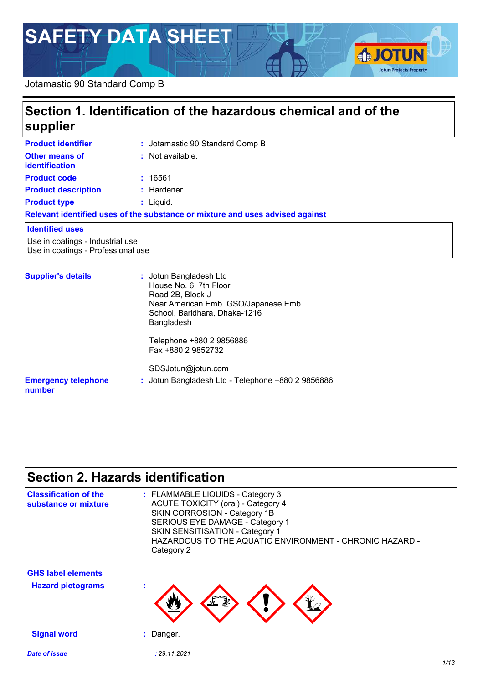# **SAFETY DATA SHEET**

#### Jotamastic 90 Standard Comp B

| supplier                                                               | Section 1. Identification of the hazardous chemical and of the                                                                                              |
|------------------------------------------------------------------------|-------------------------------------------------------------------------------------------------------------------------------------------------------------|
| <b>Product identifier</b>                                              | : Jotamastic 90 Standard Comp B                                                                                                                             |
| Other means of<br><b>identification</b>                                | $:$ Not available.                                                                                                                                          |
| <b>Product code</b>                                                    | : 16561                                                                                                                                                     |
| <b>Product description</b>                                             | $:$ Hardener.                                                                                                                                               |
| <b>Product type</b>                                                    | $:$ Liquid.                                                                                                                                                 |
|                                                                        | Relevant identified uses of the substance or mixture and uses advised against                                                                               |
| <b>Identified uses</b>                                                 |                                                                                                                                                             |
| Use in coatings - Industrial use<br>Use in coatings - Professional use |                                                                                                                                                             |
| <b>Supplier's details</b>                                              | : Jotun Bangladesh Ltd<br>House No. 6, 7th Floor<br>Road 2B, Block J<br>Near American Emb. GSO/Japanese Emb.<br>School, Baridhara, Dhaka-1216<br>Bangladesh |

**:** Jotun Bangladesh Ltd - Telephone +880 2 9856886

Fax +880 2 9852732

SDSJotun@jotun.com

#### **Emergency telephone number**

## **Section 2. Hazards identification**

| <b>Classification of the</b><br>substance or mixture  | : FLAMMABLE LIQUIDS - Category 3<br><b>ACUTE TOXICITY (oral) - Category 4</b><br>SKIN CORROSION - Category 1B<br>SERIOUS EYE DAMAGE - Category 1<br>SKIN SENSITISATION - Category 1<br>HAZARDOUS TO THE AQUATIC ENVIRONMENT - CHRONIC HAZARD -<br>Category 2 |
|-------------------------------------------------------|--------------------------------------------------------------------------------------------------------------------------------------------------------------------------------------------------------------------------------------------------------------|
| <b>GHS label elements</b><br><b>Hazard pictograms</b> | t                                                                                                                                                                                                                                                            |
| <b>Signal word</b>                                    | $:$ Danger.                                                                                                                                                                                                                                                  |
| <b>Date of issue</b>                                  | : 29.11.2021                                                                                                                                                                                                                                                 |

**IOTUN** 

**Jotun Protects Property**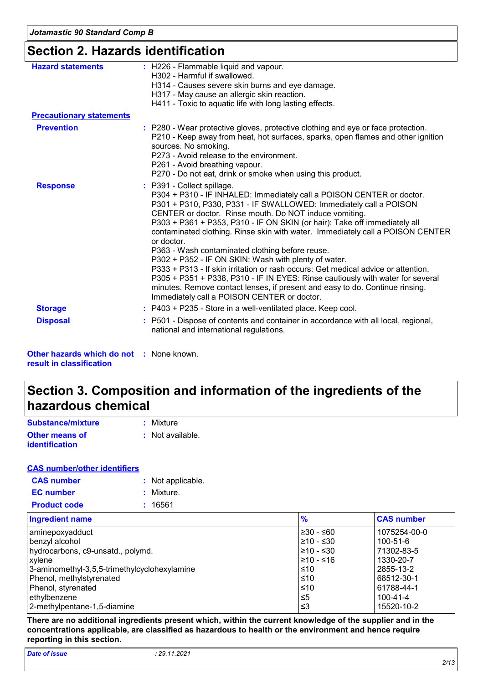## **Section 2. Hazards identification**

| <b>Hazard statements</b>        | : H226 - Flammable liquid and vapour.<br>H302 - Harmful if swallowed.<br>H314 - Causes severe skin burns and eye damage.                                                                                                                                                                                                                                                                                                                                                                                                                                                                                                                                                                                                                                                                                                         |
|---------------------------------|----------------------------------------------------------------------------------------------------------------------------------------------------------------------------------------------------------------------------------------------------------------------------------------------------------------------------------------------------------------------------------------------------------------------------------------------------------------------------------------------------------------------------------------------------------------------------------------------------------------------------------------------------------------------------------------------------------------------------------------------------------------------------------------------------------------------------------|
|                                 | H317 - May cause an allergic skin reaction.<br>H411 - Toxic to aquatic life with long lasting effects.                                                                                                                                                                                                                                                                                                                                                                                                                                                                                                                                                                                                                                                                                                                           |
| <b>Precautionary statements</b> |                                                                                                                                                                                                                                                                                                                                                                                                                                                                                                                                                                                                                                                                                                                                                                                                                                  |
| <b>Prevention</b>               | : P280 - Wear protective gloves, protective clothing and eye or face protection.<br>P210 - Keep away from heat, hot surfaces, sparks, open flames and other ignition<br>sources. No smoking.<br>P273 - Avoid release to the environment.<br>P261 - Avoid breathing vapour.<br>P270 - Do not eat, drink or smoke when using this product.                                                                                                                                                                                                                                                                                                                                                                                                                                                                                         |
| <b>Response</b>                 | : P391 - Collect spillage.<br>P304 + P310 - IF INHALED: Immediately call a POISON CENTER or doctor.<br>P301 + P310, P330, P331 - IF SWALLOWED: Immediately call a POISON<br>CENTER or doctor. Rinse mouth. Do NOT induce vomiting.<br>P303 + P361 + P353, P310 - IF ON SKIN (or hair): Take off immediately all<br>contaminated clothing. Rinse skin with water. Immediately call a POISON CENTER<br>or doctor.<br>P363 - Wash contaminated clothing before reuse.<br>P302 + P352 - IF ON SKIN: Wash with plenty of water.<br>P333 + P313 - If skin irritation or rash occurs: Get medical advice or attention.<br>P305 + P351 + P338, P310 - IF IN EYES: Rinse cautiously with water for several<br>minutes. Remove contact lenses, if present and easy to do. Continue rinsing.<br>Immediately call a POISON CENTER or doctor. |
| <b>Storage</b>                  | : P403 + P235 - Store in a well-ventilated place. Keep cool.                                                                                                                                                                                                                                                                                                                                                                                                                                                                                                                                                                                                                                                                                                                                                                     |
| <b>Disposal</b>                 | : P501 - Dispose of contents and container in accordance with all local, regional,<br>national and international regulations.                                                                                                                                                                                                                                                                                                                                                                                                                                                                                                                                                                                                                                                                                                    |

**Other hazards which do not :** None known. **result in classification**

## **Section 3. Composition and information of the ingredients of the hazardous chemical**

| Substance/mixture                       | : Mixture        |
|-----------------------------------------|------------------|
| <b>Other means of</b><br>identification | : Not available. |

#### **CAS number/other identifiers**

| <b>CAS number</b>   | : Not applicable. |
|---------------------|-------------------|
| <b>EC</b> number    | : Mixture.        |
| <b>Product code</b> | : 16561           |
|                     |                   |

| <b>Ingredient name</b>                       | $\frac{9}{6}$   | <b>CAS number</b> |
|----------------------------------------------|-----------------|-------------------|
| aminepoxyadduct                              | $\geq 30 - 60$  | 1075254-00-0      |
| benzyl alcohol                               | $\geq 10 - 530$ | $100 - 51 - 6$    |
| hydrocarbons, c9-unsatd., polymd.            | $\geq 10 - 530$ | 71302-83-5        |
| <b>xylene</b>                                | 1≥10 - ≤16      | 1330-20-7         |
| 3-aminomethyl-3,5,5-trimethylcyclohexylamine | l≤10            | 2855-13-2         |
| Phenol, methylstyrenated                     | ≤10             | 68512-30-1        |
| Phenol, styrenated                           | ≤10             | 61788-44-1        |
| ethylbenzene                                 | ≤5              | $100 - 41 - 4$    |
| 2-methylpentane-1,5-diamine                  | l ≤3            | 15520-10-2        |

**There are no additional ingredients present which, within the current knowledge of the supplier and in the concentrations applicable, are classified as hazardous to health or the environment and hence require reporting in this section.**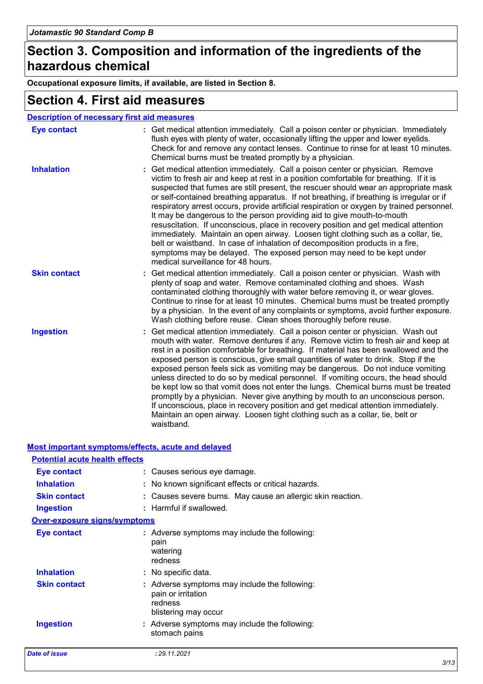## **Section 3. Composition and information of the ingredients of the hazardous chemical**

**Occupational exposure limits, if available, are listed in Section 8.**

### **Section 4. First aid measures**

|                     | <b>Description of necessary first aid measures</b>                                                                                                                                                                                                                                                                                                                                                                                                                                                                                                                                                                                                                                                                                                                                                                                                                                                            |
|---------------------|---------------------------------------------------------------------------------------------------------------------------------------------------------------------------------------------------------------------------------------------------------------------------------------------------------------------------------------------------------------------------------------------------------------------------------------------------------------------------------------------------------------------------------------------------------------------------------------------------------------------------------------------------------------------------------------------------------------------------------------------------------------------------------------------------------------------------------------------------------------------------------------------------------------|
| <b>Eye contact</b>  | : Get medical attention immediately. Call a poison center or physician. Immediately<br>flush eyes with plenty of water, occasionally lifting the upper and lower eyelids.<br>Check for and remove any contact lenses. Continue to rinse for at least 10 minutes.<br>Chemical burns must be treated promptly by a physician.                                                                                                                                                                                                                                                                                                                                                                                                                                                                                                                                                                                   |
| <b>Inhalation</b>   | Get medical attention immediately. Call a poison center or physician. Remove<br>victim to fresh air and keep at rest in a position comfortable for breathing. If it is<br>suspected that fumes are still present, the rescuer should wear an appropriate mask<br>or self-contained breathing apparatus. If not breathing, if breathing is irregular or if<br>respiratory arrest occurs, provide artificial respiration or oxygen by trained personnel.<br>It may be dangerous to the person providing aid to give mouth-to-mouth<br>resuscitation. If unconscious, place in recovery position and get medical attention<br>immediately. Maintain an open airway. Loosen tight clothing such as a collar, tie,<br>belt or waistband. In case of inhalation of decomposition products in a fire,<br>symptoms may be delayed. The exposed person may need to be kept under<br>medical surveillance for 48 hours. |
| <b>Skin contact</b> | : Get medical attention immediately. Call a poison center or physician. Wash with<br>plenty of soap and water. Remove contaminated clothing and shoes. Wash<br>contaminated clothing thoroughly with water before removing it, or wear gloves.<br>Continue to rinse for at least 10 minutes. Chemical burns must be treated promptly<br>by a physician. In the event of any complaints or symptoms, avoid further exposure.<br>Wash clothing before reuse. Clean shoes thoroughly before reuse.                                                                                                                                                                                                                                                                                                                                                                                                               |
| <b>Ingestion</b>    | Get medical attention immediately. Call a poison center or physician. Wash out<br>mouth with water. Remove dentures if any. Remove victim to fresh air and keep at<br>rest in a position comfortable for breathing. If material has been swallowed and the<br>exposed person is conscious, give small quantities of water to drink. Stop if the<br>exposed person feels sick as vomiting may be dangerous. Do not induce vomiting<br>unless directed to do so by medical personnel. If vomiting occurs, the head should<br>be kept low so that vomit does not enter the lungs. Chemical burns must be treated<br>promptly by a physician. Never give anything by mouth to an unconscious person.<br>If unconscious, place in recovery position and get medical attention immediately.<br>Maintain an open airway. Loosen tight clothing such as a collar, tie, belt or<br>waistband.                          |

| Most important symptoms/effects, acute and delayed |                                                                                                        |  |
|----------------------------------------------------|--------------------------------------------------------------------------------------------------------|--|
| <b>Potential acute health effects</b>              |                                                                                                        |  |
| <b>Eye contact</b>                                 | : Causes serious eye damage.                                                                           |  |
| <b>Inhalation</b>                                  | : No known significant effects or critical hazards.                                                    |  |
| <b>Skin contact</b>                                | : Causes severe burns. May cause an allergic skin reaction.                                            |  |
| <b>Ingestion</b>                                   | : Harmful if swallowed.                                                                                |  |
| <b>Over-exposure signs/symptoms</b>                |                                                                                                        |  |
| <b>Eye contact</b>                                 | : Adverse symptoms may include the following:<br>pain<br>watering<br>redness                           |  |
| <b>Inhalation</b>                                  | : No specific data.                                                                                    |  |
| <b>Skin contact</b>                                | : Adverse symptoms may include the following:<br>pain or irritation<br>redness<br>blistering may occur |  |
| <b>Ingestion</b>                                   | : Adverse symptoms may include the following:<br>stomach pains                                         |  |
| <b>Date of issue</b>                               | : 29.11.2021                                                                                           |  |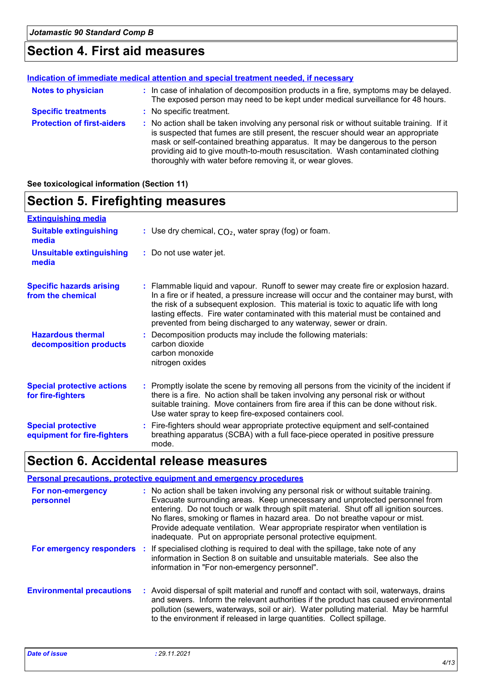## **Section 4. First aid measures**

|                                   | Indication of immediate medical attention and special treatment needed, if necessary                                                                                                                                                                                                                                                                                                                            |
|-----------------------------------|-----------------------------------------------------------------------------------------------------------------------------------------------------------------------------------------------------------------------------------------------------------------------------------------------------------------------------------------------------------------------------------------------------------------|
| <b>Notes to physician</b>         | : In case of inhalation of decomposition products in a fire, symptoms may be delayed.<br>The exposed person may need to be kept under medical surveillance for 48 hours.                                                                                                                                                                                                                                        |
| <b>Specific treatments</b>        | : No specific treatment.                                                                                                                                                                                                                                                                                                                                                                                        |
| <b>Protection of first-aiders</b> | : No action shall be taken involving any personal risk or without suitable training. If it<br>is suspected that fumes are still present, the rescuer should wear an appropriate<br>mask or self-contained breathing apparatus. It may be dangerous to the person<br>providing aid to give mouth-to-mouth resuscitation. Wash contaminated clothing<br>thoroughly with water before removing it, or wear gloves. |

**See toxicological information (Section 11)**

## **Section 5. Firefighting measures**

| <b>Extinguishing media</b>                               |                                                                                                                                                                                                                                                                                                                                                                                                                                  |
|----------------------------------------------------------|----------------------------------------------------------------------------------------------------------------------------------------------------------------------------------------------------------------------------------------------------------------------------------------------------------------------------------------------------------------------------------------------------------------------------------|
| <b>Suitable extinguishing</b><br>media                   | : Use dry chemical, $CO2$ , water spray (fog) or foam.                                                                                                                                                                                                                                                                                                                                                                           |
| <b>Unsuitable extinguishing</b><br>media                 | : Do not use water jet.                                                                                                                                                                                                                                                                                                                                                                                                          |
| <b>Specific hazards arising</b><br>from the chemical     | : Flammable liquid and vapour. Runoff to sewer may create fire or explosion hazard.<br>In a fire or if heated, a pressure increase will occur and the container may burst, with<br>the risk of a subsequent explosion. This material is toxic to aquatic life with long<br>lasting effects. Fire water contaminated with this material must be contained and<br>prevented from being discharged to any waterway, sewer or drain. |
| <b>Hazardous thermal</b><br>decomposition products       | : Decomposition products may include the following materials:<br>carbon dioxide<br>carbon monoxide<br>nitrogen oxides                                                                                                                                                                                                                                                                                                            |
| <b>Special protective actions</b><br>for fire-fighters   | : Promptly isolate the scene by removing all persons from the vicinity of the incident if<br>there is a fire. No action shall be taken involving any personal risk or without<br>suitable training. Move containers from fire area if this can be done without risk.<br>Use water spray to keep fire-exposed containers cool.                                                                                                    |
| <b>Special protective</b><br>equipment for fire-fighters | : Fire-fighters should wear appropriate protective equipment and self-contained<br>breathing apparatus (SCBA) with a full face-piece operated in positive pressure<br>mode.                                                                                                                                                                                                                                                      |

## **Section 6. Accidental release measures**

|                                  | Personal precautions, protective equipment and emergency procedures                                                                                                                                                                                                                                                                                                                                                                                                                           |
|----------------------------------|-----------------------------------------------------------------------------------------------------------------------------------------------------------------------------------------------------------------------------------------------------------------------------------------------------------------------------------------------------------------------------------------------------------------------------------------------------------------------------------------------|
| For non-emergency<br>personnel   | : No action shall be taken involving any personal risk or without suitable training.<br>Evacuate surrounding areas. Keep unnecessary and unprotected personnel from<br>entering. Do not touch or walk through spilt material. Shut off all ignition sources.<br>No flares, smoking or flames in hazard area. Do not breathe vapour or mist.<br>Provide adequate ventilation. Wear appropriate respirator when ventilation is<br>inadequate. Put on appropriate personal protective equipment. |
|                                  | For emergency responders : If specialised clothing is required to deal with the spillage, take note of any<br>information in Section 8 on suitable and unsuitable materials. See also the<br>information in "For non-emergency personnel".                                                                                                                                                                                                                                                    |
| <b>Environmental precautions</b> | : Avoid dispersal of spilt material and runoff and contact with soil, waterways, drains<br>and sewers. Inform the relevant authorities if the product has caused environmental<br>pollution (sewers, waterways, soil or air). Water polluting material. May be harmful<br>to the environment if released in large quantities. Collect spillage.                                                                                                                                               |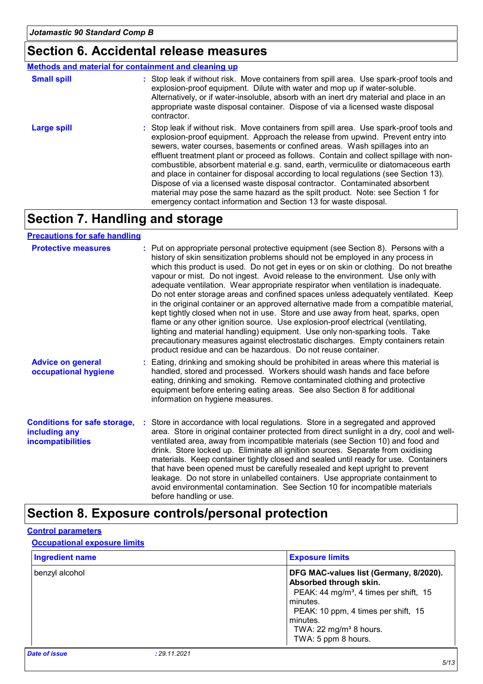### **Section 6. Accidental release measures**

#### : Stop leak if without risk. Move containers from spill area. Use spark-proof tools and explosion-proof equipment. Approach the release from upwind. Prevent entry into sewers, water courses, basements or confined areas. Wash spillages into an effluent treatment plant or proceed as follows. Contain and collect spillage with noncombustible, absorbent material e.g. sand, earth, vermiculite or diatomaceous earth and place in container for disposal according to local regulations (see Section 13). Dispose of via a licensed waste disposal contractor. Contaminated absorbent material may pose the same hazard as the spilt product. Note: see Section 1 for emergency contact information and Section 13 for waste disposal. **Large spill :** : Stop leak if without risk. Move containers from spill area. Use spark-proof tools and explosion-proof equipment. Dilute with water and mop up if water-soluble. Alternatively, or if water-insoluble, absorb with an inert dry material and place in an appropriate waste disposal container. Dispose of via a licensed waste disposal contractor. **Small spill : Methods and material for containment and cleaning up**

## **Section 7. Handling and storage**

#### **Precautions for safe handling**

| <b>Protective measures</b>                                                       | : Put on appropriate personal protective equipment (see Section 8). Persons with a<br>history of skin sensitization problems should not be employed in any process in<br>which this product is used. Do not get in eyes or on skin or clothing. Do not breathe<br>vapour or mist. Do not ingest. Avoid release to the environment. Use only with<br>adequate ventilation. Wear appropriate respirator when ventilation is inadequate.<br>Do not enter storage areas and confined spaces unless adequately ventilated. Keep<br>in the original container or an approved alternative made from a compatible material,<br>kept tightly closed when not in use. Store and use away from heat, sparks, open<br>flame or any other ignition source. Use explosion-proof electrical (ventilating,<br>lighting and material handling) equipment. Use only non-sparking tools. Take<br>precautionary measures against electrostatic discharges. Empty containers retain<br>product residue and can be hazardous. Do not reuse container. |
|----------------------------------------------------------------------------------|---------------------------------------------------------------------------------------------------------------------------------------------------------------------------------------------------------------------------------------------------------------------------------------------------------------------------------------------------------------------------------------------------------------------------------------------------------------------------------------------------------------------------------------------------------------------------------------------------------------------------------------------------------------------------------------------------------------------------------------------------------------------------------------------------------------------------------------------------------------------------------------------------------------------------------------------------------------------------------------------------------------------------------|
| <b>Advice on general</b><br>occupational hygiene                                 | : Eating, drinking and smoking should be prohibited in areas where this material is<br>handled, stored and processed. Workers should wash hands and face before<br>eating, drinking and smoking. Remove contaminated clothing and protective<br>equipment before entering eating areas. See also Section 8 for additional<br>information on hygiene measures.                                                                                                                                                                                                                                                                                                                                                                                                                                                                                                                                                                                                                                                                   |
| <b>Conditions for safe storage,</b><br>including any<br><b>incompatibilities</b> | : Store in accordance with local regulations. Store in a segregated and approved<br>area. Store in original container protected from direct sunlight in a dry, cool and well-<br>ventilated area, away from incompatible materials (see Section 10) and food and<br>drink. Store locked up. Eliminate all ignition sources. Separate from oxidising<br>materials. Keep container tightly closed and sealed until ready for use. Containers<br>that have been opened must be carefully resealed and kept upright to prevent<br>leakage. Do not store in unlabelled containers. Use appropriate containment to<br>avoid environmental contamination. See Section 10 for incompatible materials<br>before handling or use.                                                                                                                                                                                                                                                                                                         |

## **Section 8. Exposure controls/personal protection**

#### **Control parameters**

#### **Occupational exposure limits**

| <b>Ingredient name</b> |              | <b>Exposure limits</b>                                                                                                                                                                                                                               |
|------------------------|--------------|------------------------------------------------------------------------------------------------------------------------------------------------------------------------------------------------------------------------------------------------------|
| benzyl alcohol         |              | DFG MAC-values list (Germany, 8/2020).<br>Absorbed through skin.<br>PEAK: 44 mg/m <sup>3</sup> , 4 times per shift, 15<br>l minutes.<br>PEAK: 10 ppm, 4 times per shift, 15<br>minutes.<br>TWA: 22 mg/m <sup>3</sup> 8 hours.<br>TWA: 5 ppm 8 hours. |
| <b>Date of issue</b>   | : 29.11.2021 |                                                                                                                                                                                                                                                      |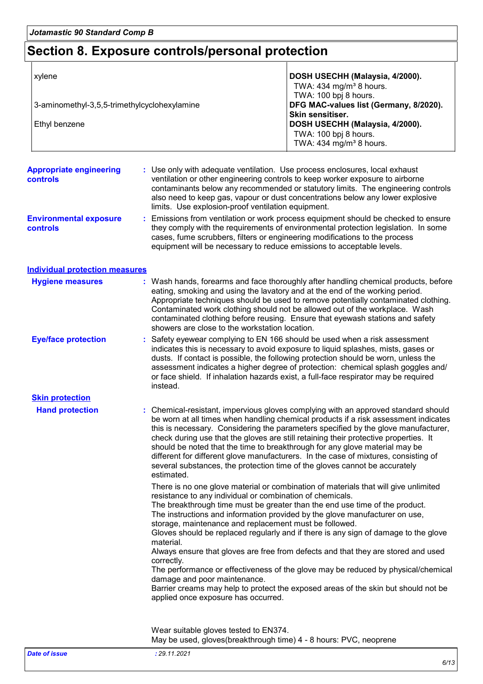## **Section 8. Exposure controls/personal protection**

| xylene                                                        |                                                                                                                                                                                                                       | DOSH USECHH (Malaysia, 4/2000).<br>TWA: 434 mg/m <sup>3</sup> 8 hours.                                                                                                                                                                                                                                                                                                                                                                                                                                                                                                                                      |  |  |
|---------------------------------------------------------------|-----------------------------------------------------------------------------------------------------------------------------------------------------------------------------------------------------------------------|-------------------------------------------------------------------------------------------------------------------------------------------------------------------------------------------------------------------------------------------------------------------------------------------------------------------------------------------------------------------------------------------------------------------------------------------------------------------------------------------------------------------------------------------------------------------------------------------------------------|--|--|
| 3-aminomethyl-3,5,5-trimethylcyclohexylamine<br>Ethyl benzene |                                                                                                                                                                                                                       | TWA: 100 bpj 8 hours.<br>DFG MAC-values list (Germany, 8/2020).<br>Skin sensitiser.<br>DOSH USECHH (Malaysia, 4/2000).<br>TWA: 100 bpj 8 hours.<br>TWA: 434 mg/m <sup>3</sup> 8 hours.                                                                                                                                                                                                                                                                                                                                                                                                                      |  |  |
| <b>Appropriate engineering</b><br>controls                    | limits. Use explosion-proof ventilation equipment.                                                                                                                                                                    | : Use only with adequate ventilation. Use process enclosures, local exhaust<br>ventilation or other engineering controls to keep worker exposure to airborne<br>contaminants below any recommended or statutory limits. The engineering controls<br>also need to keep gas, vapour or dust concentrations below any lower explosive                                                                                                                                                                                                                                                                          |  |  |
| <b>Environmental exposure</b><br><b>controls</b>              |                                                                                                                                                                                                                       | : Emissions from ventilation or work process equipment should be checked to ensure<br>they comply with the requirements of environmental protection legislation. In some<br>cases, fume scrubbers, filters or engineering modifications to the process<br>equipment will be necessary to reduce emissions to acceptable levels.                                                                                                                                                                                                                                                                             |  |  |
| <b>Individual protection measures</b>                         |                                                                                                                                                                                                                       |                                                                                                                                                                                                                                                                                                                                                                                                                                                                                                                                                                                                             |  |  |
| <b>Hygiene measures</b>                                       | showers are close to the workstation location.                                                                                                                                                                        | : Wash hands, forearms and face thoroughly after handling chemical products, before<br>eating, smoking and using the lavatory and at the end of the working period.<br>Appropriate techniques should be used to remove potentially contaminated clothing.<br>Contaminated work clothing should not be allowed out of the workplace. Wash<br>contaminated clothing before reusing. Ensure that eyewash stations and safety                                                                                                                                                                                   |  |  |
| <b>Eye/face protection</b>                                    | instead.                                                                                                                                                                                                              | : Safety eyewear complying to EN 166 should be used when a risk assessment<br>indicates this is necessary to avoid exposure to liquid splashes, mists, gases or<br>dusts. If contact is possible, the following protection should be worn, unless the<br>assessment indicates a higher degree of protection: chemical splash goggles and/<br>or face shield. If inhalation hazards exist, a full-face respirator may be required                                                                                                                                                                            |  |  |
| <b>Skin protection</b>                                        |                                                                                                                                                                                                                       |                                                                                                                                                                                                                                                                                                                                                                                                                                                                                                                                                                                                             |  |  |
| <b>Hand protection</b>                                        | estimated.                                                                                                                                                                                                            | : Chemical-resistant, impervious gloves complying with an approved standard should<br>be worn at all times when handling chemical products if a risk assessment indicates<br>this is necessary. Considering the parameters specified by the glove manufacturer,<br>check during use that the gloves are still retaining their protective properties. It<br>should be noted that the time to breakthrough for any glove material may be<br>different for different glove manufacturers. In the case of mixtures, consisting of<br>several substances, the protection time of the gloves cannot be accurately |  |  |
|                                                               | resistance to any individual or combination of chemicals.<br>storage, maintenance and replacement must be followed.<br>material.<br>correctly.<br>damage and poor maintenance.<br>applied once exposure has occurred. | There is no one glove material or combination of materials that will give unlimited<br>The breakthrough time must be greater than the end use time of the product.<br>The instructions and information provided by the glove manufacturer on use,<br>Gloves should be replaced regularly and if there is any sign of damage to the glove<br>Always ensure that gloves are free from defects and that they are stored and used<br>The performance or effectiveness of the glove may be reduced by physical/chemical<br>Barrier creams may help to protect the exposed areas of the skin but should not be    |  |  |
|                                                               | Wear suitable gloves tested to EN374.<br>May be used, gloves(breakthrough time) 4 - 8 hours: PVC, neoprene                                                                                                            |                                                                                                                                                                                                                                                                                                                                                                                                                                                                                                                                                                                                             |  |  |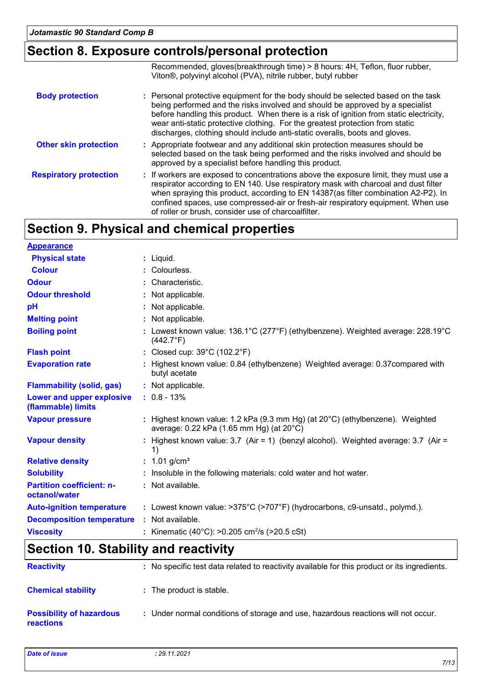## **Section 8. Exposure controls/personal protection**

|                               | Recommended, gloves(breakthrough time) > 8 hours: 4H, Teflon, fluor rubber,<br>Viton <sup>®</sup> , polyvinyl alcohol (PVA), nitrile rubber, butyl rubber                                                                                                                                                                                                                                                                     |
|-------------------------------|-------------------------------------------------------------------------------------------------------------------------------------------------------------------------------------------------------------------------------------------------------------------------------------------------------------------------------------------------------------------------------------------------------------------------------|
| <b>Body protection</b>        | : Personal protective equipment for the body should be selected based on the task<br>being performed and the risks involved and should be approved by a specialist<br>before handling this product. When there is a risk of ignition from static electricity,<br>wear anti-static protective clothing. For the greatest protection from static<br>discharges, clothing should include anti-static overalls, boots and gloves. |
| <b>Other skin protection</b>  | : Appropriate footwear and any additional skin protection measures should be<br>selected based on the task being performed and the risks involved and should be<br>approved by a specialist before handling this product.                                                                                                                                                                                                     |
| <b>Respiratory protection</b> | : If workers are exposed to concentrations above the exposure limit, they must use a<br>respirator according to EN 140. Use respiratory mask with charcoal and dust filter<br>when spraying this product, according to EN 14387(as filter combination A2-P2). In<br>confined spaces, use compressed-air or fresh-air respiratory equipment. When use<br>of roller or brush, consider use of charcoalfilter.                   |

## **Section 9. Physical and chemical properties**

| <b>Appearance</b>                                 |                                                                                                                                        |
|---------------------------------------------------|----------------------------------------------------------------------------------------------------------------------------------------|
| <b>Physical state</b>                             | $:$ Liquid.                                                                                                                            |
| <b>Colour</b>                                     | : Colourless.                                                                                                                          |
| <b>Odour</b>                                      | : Characteristic.                                                                                                                      |
| <b>Odour threshold</b>                            | : Not applicable.                                                                                                                      |
| pH                                                | : Not applicable.                                                                                                                      |
| <b>Melting point</b>                              | : Not applicable.                                                                                                                      |
| <b>Boiling point</b>                              | : Lowest known value: $136.1^{\circ}$ C (277 $^{\circ}$ F) (ethylbenzene). Weighted average: 228.19 $^{\circ}$ C<br>$(442.7^{\circ}F)$ |
| <b>Flash point</b>                                | : Closed cup: 39°C (102.2°F)                                                                                                           |
| <b>Evaporation rate</b>                           | : Highest known value: 0.84 (ethylbenzene) Weighted average: 0.37 compared with<br>butyl acetate                                       |
| <b>Flammability (solid, gas)</b>                  | : Not applicable.                                                                                                                      |
| Lower and upper explosive<br>(flammable) limits   | $: 0.8 - 13%$                                                                                                                          |
| <b>Vapour pressure</b>                            | : Highest known value: 1.2 kPa (9.3 mm Hg) (at $20^{\circ}$ C) (ethylbenzene). Weighted<br>average: 0.22 kPa (1.65 mm Hg) (at 20°C)    |
| <b>Vapour density</b>                             | : Highest known value: 3.7 (Air = 1) (benzyl alcohol). Weighted average: 3.7 (Air =<br>1)                                              |
| <b>Relative density</b>                           | : $1.01$ g/cm <sup>3</sup>                                                                                                             |
| <b>Solubility</b>                                 | : Insoluble in the following materials: cold water and hot water.                                                                      |
| <b>Partition coefficient: n-</b><br>octanol/water | : Not available.                                                                                                                       |
| <b>Auto-ignition temperature</b>                  | : Lowest known value: >375°C (>707°F) (hydrocarbons, c9-unsatd., polymd.).                                                             |
| <b>Decomposition temperature</b>                  | : Not available.                                                                                                                       |
| <b>Viscosity</b>                                  | : Kinematic (40°C): >0.205 cm <sup>2</sup> /s (>20.5 cSt)                                                                              |

## **Section 10. Stability and reactivity**

| <b>Reactivity</b>                                   | : No specific test data related to reactivity available for this product or its ingredients. |
|-----------------------------------------------------|----------------------------------------------------------------------------------------------|
| <b>Chemical stability</b>                           | : The product is stable.                                                                     |
| <b>Possibility of hazardous</b><br><b>reactions</b> | : Under normal conditions of storage and use, hazardous reactions will not occur.            |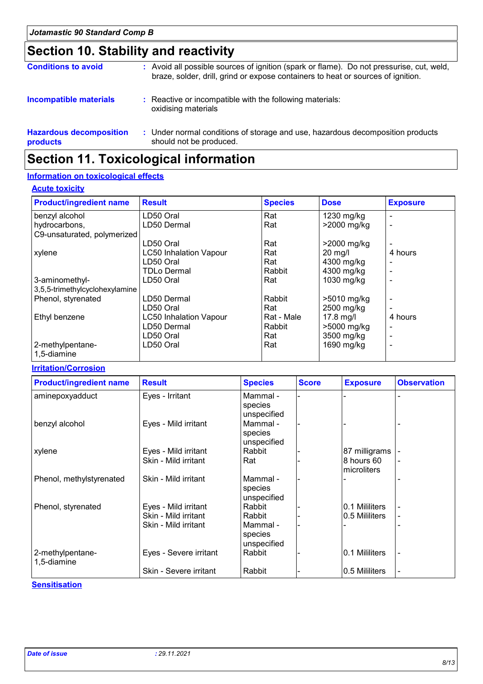## **Section 10. Stability and reactivity**

| <b>Conditions to avoid</b>                 | : Avoid all possible sources of ignition (spark or flame). Do not pressurise, cut, weld,<br>braze, solder, drill, grind or expose containers to heat or sources of ignition. |
|--------------------------------------------|------------------------------------------------------------------------------------------------------------------------------------------------------------------------------|
| <b>Incompatible materials</b>              | : Reactive or incompatible with the following materials:<br>oxidising materials                                                                                              |
| <b>Hazardous decomposition</b><br>products | : Under normal conditions of storage and use, hazardous decomposition products<br>should not be produced.                                                                    |

## **Section 11. Toxicological information**

#### **Information on toxicological effects**

#### **Acute toxicity**

| <b>Product/ingredient name</b> | <b>Result</b>                 | <b>Species</b> | <b>Dose</b>       | <b>Exposure</b> |
|--------------------------------|-------------------------------|----------------|-------------------|-----------------|
| benzyl alcohol                 | LD50 Oral                     | Rat            | 1230 mg/kg        |                 |
| hydrocarbons,                  | LD50 Dermal                   | Rat            | >2000 mg/kg       |                 |
| C9-unsaturated, polymerized    |                               |                |                   |                 |
|                                | LD50 Oral                     | Rat            | $>2000$ mg/kg     |                 |
| xylene                         | <b>LC50 Inhalation Vapour</b> | Rat            | $20 \text{ mg/l}$ | 4 hours         |
|                                | LD50 Oral                     | Rat            | 4300 mg/kg        |                 |
|                                | <b>TDLo Dermal</b>            | Rabbit         | 4300 mg/kg        |                 |
| 3-aminomethyl-                 | LD50 Oral                     | Rat            | 1030 mg/kg        |                 |
| 3,5,5-trimethylcyclohexylamine |                               |                |                   |                 |
| Phenol, styrenated             | LD50 Dermal                   | Rabbit         | >5010 mg/kg       |                 |
|                                | LD50 Oral                     | Rat            | 2500 mg/kg        |                 |
| Ethyl benzene                  | <b>LC50 Inhalation Vapour</b> | Rat - Male     | $17.8$ mg/l       | 4 hours         |
|                                | LD50 Dermal                   | Rabbit         | >5000 mg/kg       |                 |
|                                | LD50 Oral                     | Rat            | 3500 mg/kg        |                 |
| 2-methylpentane-               | LD50 Oral                     | Rat            | 1690 mg/kg        |                 |
| 1,5-diamine                    |                               |                |                   |                 |

#### **Irritation/Corrosion**

| <b>Product/ingredient name</b>  | <b>Result</b>          | <b>Species</b>                     | <b>Score</b> | <b>Exposure</b>           | <b>Observation</b> |
|---------------------------------|------------------------|------------------------------------|--------------|---------------------------|--------------------|
| aminepoxyadduct                 | Eyes - Irritant        | Mammal -<br>species<br>unspecified |              |                           |                    |
| benzyl alcohol                  | Eyes - Mild irritant   | Mammal -<br>species<br>unspecified |              |                           |                    |
| xylene                          | Eyes - Mild irritant   | Rabbit                             |              | 87 milligrams             |                    |
|                                 | Skin - Mild irritant   | Rat                                |              | 8 hours 60<br>microliters |                    |
| Phenol, methylstyrenated        | Skin - Mild irritant   | Mammal -<br>species<br>unspecified |              |                           |                    |
| Phenol, styrenated              | Eyes - Mild irritant   | Rabbit                             |              | 0.1 Mililiters            |                    |
|                                 | Skin - Mild irritant   | Rabbit                             |              | 0.5 Mililiters            |                    |
|                                 | Skin - Mild irritant   | Mammal -<br>species<br>unspecified |              |                           |                    |
| 2-methylpentane-<br>1,5-diamine | Eyes - Severe irritant | Rabbit                             |              | 0.1 Mililiters            |                    |
|                                 | Skin - Severe irritant | Rabbit                             |              | 0.5 Mililiters            | -                  |

#### **Sensitisation**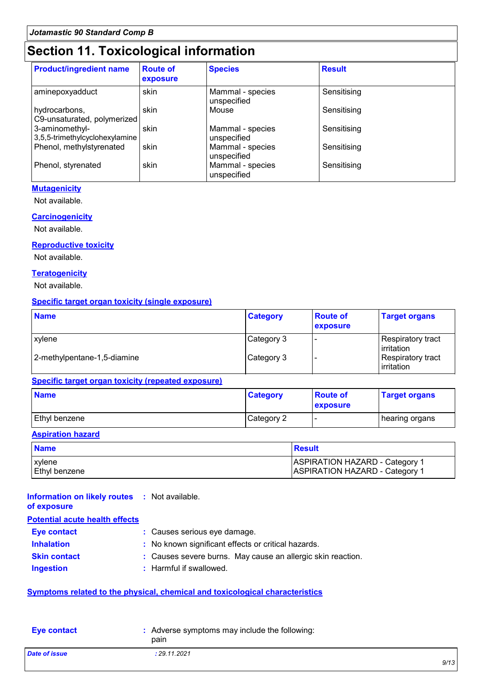## **Section 11. Toxicological information**

| <b>Product/ingredient name</b>                   | <b>Route of</b><br>exposure | <b>Species</b>                  | <b>Result</b> |
|--------------------------------------------------|-----------------------------|---------------------------------|---------------|
| aminepoxyadduct                                  | skin                        | Mammal - species<br>unspecified | Sensitising   |
| hydrocarbons,<br>C9-unsaturated, polymerized     | skin                        | Mouse                           | Sensitising   |
| 3-aminomethyl-<br>3,5,5-trimethylcyclohexylamine | skin                        | Mammal - species<br>unspecified | Sensitising   |
| Phenol, methylstyrenated                         | skin                        | Mammal - species<br>unspecified | Sensitising   |
| Phenol, styrenated                               | skin                        | Mammal - species<br>unspecified | Sensitising   |

#### **Mutagenicity**

Not available.

#### **Carcinogenicity**

Not available.

#### **Reproductive toxicity**

Not available.

#### **Teratogenicity**

Not available.

#### **Specific target organ toxicity (single exposure)**

| <b>Name</b>                 | <b>Category</b> | <b>Route of</b><br>exposure | <b>Target organs</b>              |
|-----------------------------|-----------------|-----------------------------|-----------------------------------|
| xylene                      | Category 3      |                             | Respiratory tract<br>l irritation |
| 2-methylpentane-1,5-diamine | Category 3      |                             | Respiratory tract<br>irritation   |

#### **Specific target organ toxicity (repeated exposure)**

| <b>Name</b>   | <b>Category</b> | <b>Route of</b><br><b>exposure</b> | <b>Target organs</b> |
|---------------|-----------------|------------------------------------|----------------------|
| Ethyl benzene | Category 2      |                                    | hearing organs       |

#### **Aspiration hazard**

| <b>Name</b>     | Result                                |
|-----------------|---------------------------------------|
| <b>xylene</b>   | <b>ASPIRATION HAZARD - Category 1</b> |
| l Ethvl benzene | <b>ASPIRATION HAZARD - Category 1</b> |

### **Information on likely routes :** Not available.

**of exposure**

| of exposure |  |  |
|-------------|--|--|
|             |  |  |

|  | <b>OI EXPOSURE</b> |  |  |
|--|--------------------|--|--|
|  |                    |  |  |

| <b>Potential acute health effects</b> |                                                             |  |
|---------------------------------------|-------------------------------------------------------------|--|
| Eye contact                           | : Causes serious eye damage.                                |  |
| <b>Inhalation</b>                     | : No known significant effects or critical hazards.         |  |
| <b>Skin contact</b>                   | : Causes severe burns. May cause an allergic skin reaction. |  |
| <b>Ingestion</b>                      | : Harmful if swallowed.                                     |  |

#### **Symptoms related to the physical, chemical and toxicological characteristics**

| <b>Eve contact</b>   | : Adverse symptoms may include the following:<br>pain |      |
|----------------------|-------------------------------------------------------|------|
| <b>Date of issue</b> | : 29.11.2021                                          | 0/11 |
|                      |                                                       |      |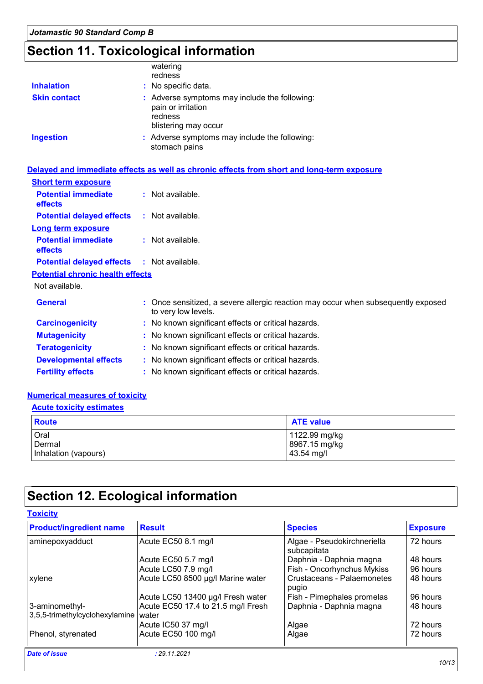## **Section 11. Toxicological information**

| <b>Inhalation</b>   | watering<br>redness<br>: No specific data.                                                             |
|---------------------|--------------------------------------------------------------------------------------------------------|
| <b>Skin contact</b> | : Adverse symptoms may include the following:<br>pain or irritation<br>redness<br>blistering may occur |
| <b>Ingestion</b>    | : Adverse symptoms may include the following:<br>stomach pains                                         |

|                                                   | Delayed and immediate effects as well as chronic effects from short and long-term exposure               |
|---------------------------------------------------|----------------------------------------------------------------------------------------------------------|
| <b>Short term exposure</b>                        |                                                                                                          |
| <b>Potential immediate</b><br><b>effects</b>      | : Not available.                                                                                         |
| <b>Potential delayed effects</b>                  | : Not available.                                                                                         |
| <b>Long term exposure</b>                         |                                                                                                          |
| <b>Potential immediate</b><br>effects             | : Not available.                                                                                         |
| <b>Potential delayed effects : Not available.</b> |                                                                                                          |
| <b>Potential chronic health effects</b>           |                                                                                                          |
| Not available.                                    |                                                                                                          |
| <b>General</b>                                    | : Once sensitized, a severe allergic reaction may occur when subsequently exposed<br>to very low levels. |
| <b>Carcinogenicity</b>                            | : No known significant effects or critical hazards.                                                      |
| <b>Mutagenicity</b>                               | : No known significant effects or critical hazards.                                                      |
| <b>Teratogenicity</b>                             | : No known significant effects or critical hazards.                                                      |
| <b>Developmental effects</b>                      | : No known significant effects or critical hazards.                                                      |

#### **Fertility effects :** No known significant effects or critical hazards.

#### **Numerical measures of toxicity**

#### **Acute toxicity estimates**

| <b>Route</b>         | <b>ATE value</b> |
|----------------------|------------------|
| Oral                 | 1122.99 mg/kg    |
| Dermal               | 8967.15 mg/kg    |
| Inhalation (vapours) | 43.54 mg/l       |

## **Section 12. Ecological information**

#### **Toxicity**

| <b>Product/ingredient name</b>                   | <b>Result</b>                               | <b>Species</b>                             | <b>Exposure</b> |
|--------------------------------------------------|---------------------------------------------|--------------------------------------------|-----------------|
| aminepoxyadduct                                  | Acute EC50 8.1 mg/l                         | Algae - Pseudokirchneriella<br>subcapitata | 72 hours        |
|                                                  | Acute EC50 5.7 mg/l                         | Daphnia - Daphnia magna                    | 48 hours        |
|                                                  | Acute LC50 7.9 mg/l                         | Fish - Oncorhynchus Mykiss                 | 96 hours        |
| xylene                                           | Acute LC50 8500 µg/l Marine water           | Crustaceans - Palaemonetes<br>pugio        | 48 hours        |
|                                                  | Acute LC50 13400 µg/l Fresh water           | Fish - Pimephales promelas                 | 96 hours        |
| 3-aminomethyl-<br>3,5,5-trimethylcyclohexylamine | Acute EC50 17.4 to 21.5 mg/l Fresh<br>water | Daphnia - Daphnia magna                    | 48 hours        |
|                                                  | Acute IC50 37 mg/l                          | Algae                                      | 72 hours        |
| Phenol, styrenated                               | Acute EC50 100 mg/l                         | Algae                                      | 72 hours        |
| <b>Date of issue</b>                             | : 29.11.2021                                |                                            |                 |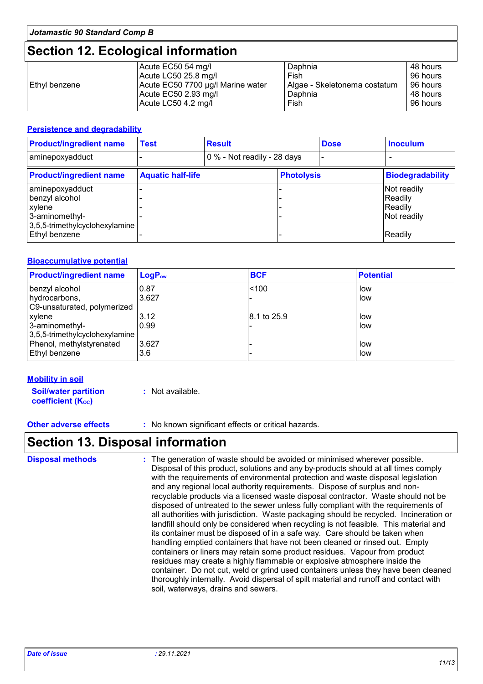## **Section 12. Ecological information**

|                 | Acute EC50 54 mg/l                | Daphnia                      | 48 hours |
|-----------------|-----------------------------------|------------------------------|----------|
|                 | Acute LC50 25.8 mg/l              | Fish                         | 96 hours |
| l Ethvl benzene | Acute EC50 7700 µg/l Marine water | Algae - Skeletonema costatum | 96 hours |
|                 | Acute EC50 2.93 mg/l              | Daphnia                      | 48 hours |
|                 | Acute LC50 4.2 mg/l               | Fish                         | 96 hours |

#### **Persistence and degradability**

| <b>Product/ingredient name</b>                                                                  | <b>Test</b>              | <b>Result</b>               |                   | <b>Dose</b> | <b>Inoculum</b>                                  |
|-------------------------------------------------------------------------------------------------|--------------------------|-----------------------------|-------------------|-------------|--------------------------------------------------|
| aminepoxyadduct                                                                                 |                          | 0 % - Not readily - 28 days |                   |             |                                                  |
| <b>Product/ingredient name</b>                                                                  | <b>Aquatic half-life</b> |                             | <b>Photolysis</b> |             | <b>Biodegradability</b>                          |
| aminepoxyadduct<br>benzyl alcohol<br>xylene<br>3-aminomethyl-<br>3,5,5-trimethylcyclohexylamine |                          |                             |                   |             | Not readily<br>Readily<br>Readily<br>Not readily |
| Ethyl benzene                                                                                   |                          |                             |                   |             | Readily                                          |

#### **Bioaccumulative potential**

| <b>Product/ingredient name</b> | LogP <sub>ow</sub> | <b>BCF</b>  | <b>Potential</b> |
|--------------------------------|--------------------|-------------|------------------|
| benzyl alcohol                 | 0.87               | < 100       | low              |
| hydrocarbons,                  | 3.627              |             | low              |
| C9-unsaturated, polymerized    |                    |             |                  |
| xylene                         | 3.12               | 8.1 to 25.9 | low              |
| 3-aminomethyl-                 | 0.99               |             | low              |
| 3,5,5-trimethylcyclohexylamine |                    |             |                  |
| Phenol, methylstyrenated       | 3.627              |             | low              |
| Ethyl benzene                  | 3.6                |             | low              |

#### **Mobility in soil**

**Soil/water partition coefficient (KOC)**

**:** Not available.

**Other adverse effects :** No known significant effects or critical hazards.

### **Section 13. Disposal information**

The generation of waste should be avoided or minimised wherever possible. Disposal of this product, solutions and any by-products should at all times comply with the requirements of environmental protection and waste disposal legislation and any regional local authority requirements. Dispose of surplus and nonrecyclable products via a licensed waste disposal contractor. Waste should not be disposed of untreated to the sewer unless fully compliant with the requirements of all authorities with jurisdiction. Waste packaging should be recycled. Incineration or landfill should only be considered when recycling is not feasible. This material and its container must be disposed of in a safe way. Care should be taken when handling emptied containers that have not been cleaned or rinsed out. Empty containers or liners may retain some product residues. Vapour from product residues may create a highly flammable or explosive atmosphere inside the container. Do not cut, weld or grind used containers unless they have been cleaned thoroughly internally. Avoid dispersal of spilt material and runoff and contact with soil, waterways, drains and sewers. **Disposal methods :**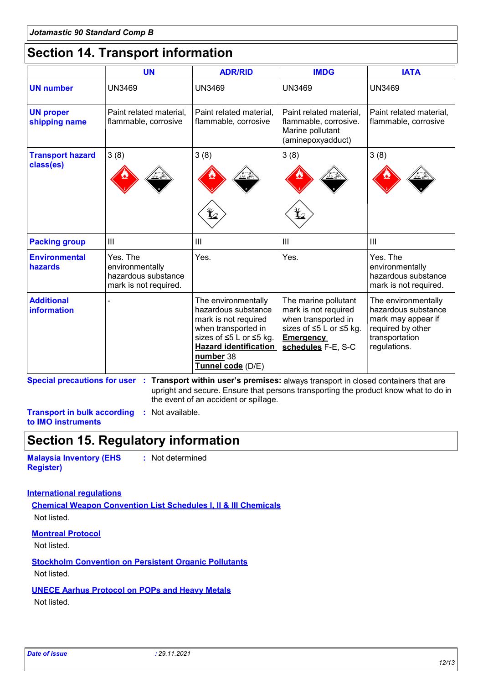## **Section 14. Transport information**

|                                      | <b>UN</b>                                                                   | <b>ADR/RID</b>                                                                                                                                                                         | <b>IMDG</b>                                                                                                                              | <b>IATA</b>                                                                                                             |
|--------------------------------------|-----------------------------------------------------------------------------|----------------------------------------------------------------------------------------------------------------------------------------------------------------------------------------|------------------------------------------------------------------------------------------------------------------------------------------|-------------------------------------------------------------------------------------------------------------------------|
| <b>UN number</b>                     | <b>UN3469</b>                                                               | <b>UN3469</b>                                                                                                                                                                          | <b>UN3469</b>                                                                                                                            | <b>UN3469</b>                                                                                                           |
| <b>UN proper</b><br>shipping name    | Paint related material,<br>flammable, corrosive                             | Paint related material,<br>flammable, corrosive                                                                                                                                        | Paint related material,<br>flammable, corrosive.<br>Marine pollutant<br>(aminepoxyadduct)                                                | Paint related material,<br>flammable, corrosive                                                                         |
| <b>Transport hazard</b><br>class(es) | 3(8)                                                                        | 3(8)                                                                                                                                                                                   | 3(8)                                                                                                                                     | 3(8)                                                                                                                    |
| <b>Packing group</b>                 | III                                                                         | $\mathbf{III}$                                                                                                                                                                         | $\mathbf{III}$                                                                                                                           | III                                                                                                                     |
| <b>Environmental</b><br>hazards      | Yes. The<br>environmentally<br>hazardous substance<br>mark is not required. | Yes.                                                                                                                                                                                   | Yes.                                                                                                                                     | Yes. The<br>environmentally<br>hazardous substance<br>mark is not required.                                             |
| <b>Additional</b><br>information     |                                                                             | The environmentally<br>hazardous substance<br>mark is not required<br>when transported in<br>sizes of ≤5 L or ≤5 kg.<br><b>Hazard identification</b><br>number 38<br>Tunnel code (D/E) | The marine pollutant<br>mark is not required<br>when transported in<br>sizes of ≤5 L or ≤5 kg.<br><b>Emergency</b><br>schedules F-E, S-C | The environmentally<br>hazardous substance<br>mark may appear if<br>required by other<br>transportation<br>regulations. |

**Special precautions for user Transport within user's premises:** always transport in closed containers that are **:** upright and secure. Ensure that persons transporting the product know what to do in the event of an accident or spillage.

**Transport in bulk according :** Not available. **to IMO instruments**

### **Section 15. Regulatory information**

**Malaysia Inventory (EHS Register)**

**:** Not determined

#### **International regulations**

**Chemical Weapon Convention List Schedules I, II & III Chemicals** Not listed.

#### **Montreal Protocol**

Not listed.

#### **Stockholm Convention on Persistent Organic Pollutants**

Not listed.

#### **UNECE Aarhus Protocol on POPs and Heavy Metals**

Not listed.